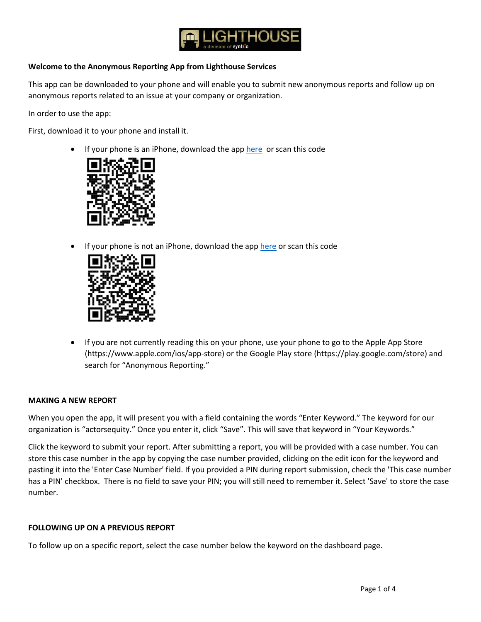

# **Welcome to the Anonymous Reporting App from Lighthouse Services**

This app can be downloaded to your phone and will enable you to submit new anonymous reports and follow up on anonymous reports related to an issue at your company or organization.

In order to use the app:

First, download it to your phone and install it.

If your phone is an iPhone, download the ap[p here](https://apps.apple.com/us/app/anonymous-reporting/id1503463541) or scan this code



If your phone is not an iPhone, download the app [here](https://play.google.com/store/apps/details?id=com.Syntrio.LightHouse) or scan this code



• If you are not currently reading this on your phone, use your phone to go to the Apple App Store (https://www.apple.com/ios/app-store) or the Google Play store (https://play.google.com/store) and search for "Anonymous Reporting."

### **MAKING A NEW REPORT**

When you open the app, it will present you with a field containing the words "Enter Keyword." The keyword for our organization is "actorsequity." Once you enter it, click "Save". This will save that keyword in "Your Keywords."

Click the keyword to submit your report. After submitting a report, you will be provided with a case number. You can store this case number in the app by copying the case number provided, clicking on the edit icon for the keyword and pasting it into the 'Enter Case Number' field. If you provided a PIN during report submission, check the 'This case number has a PIN' checkbox. There is no field to save your PIN; you will still need to remember it. Select 'Save' to store the case number.

### **FOLLOWING UP ON A PREVIOUS REPORT**

To follow up on a specific report, select the case number below the keyword on the dashboard page.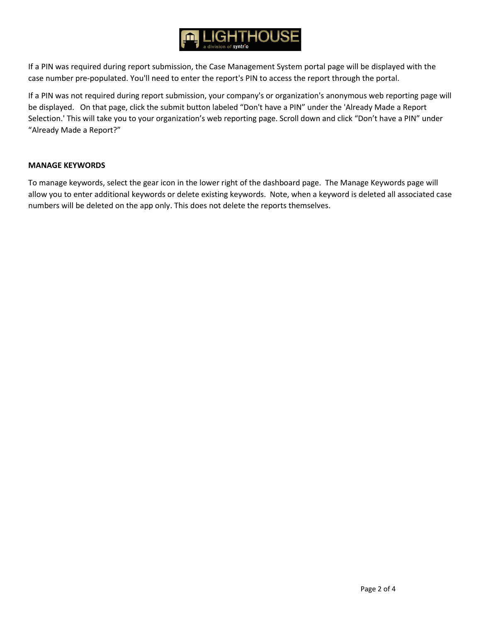

If a PIN was required during report submission, the Case Management System portal page will be displayed with the case number pre-populated. You'll need to enter the report's PIN to access the report through the portal.

If a PIN was not required during report submission, your company's or organization's anonymous web reporting page will be displayed. On that page, click the submit button labeled "Don't have a PIN" under the 'Already Made a Report Selection.' This will take you to your organization's web reporting page. Scroll down and click "Don't have a PIN" under "Already Made a Report?"

### **MANAGE KEYWORDS**

To manage keywords, select the gear icon in the lower right of the dashboard page. The Manage Keywords page will allow you to enter additional keywords or delete existing keywords. Note, when a keyword is deleted all associated case numbers will be deleted on the app only. This does not delete the reports themselves.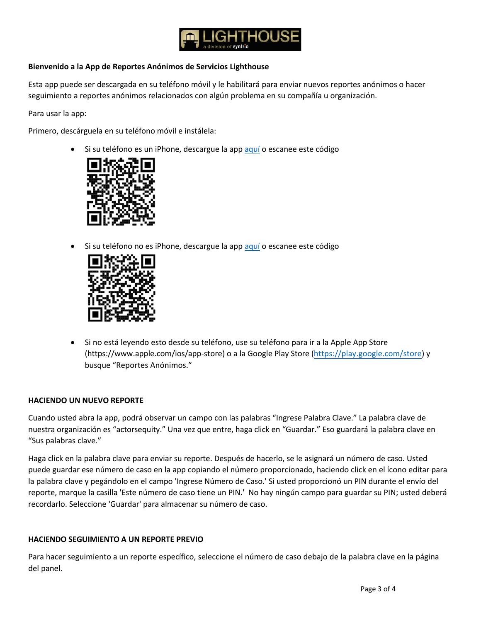

# **Bienvenido a la App de Reportes Anónimos de Servicios Lighthouse**

Esta app puede ser descargada en su teléfono móvil y le habilitará para enviar nuevos reportes anónimos o hacer seguimiento a reportes anónimos relacionados con algún problema en su compañía u organización.

Para usar la app:

Primero, descárguela en su teléfono móvil e instálela:

Si su teléfono es un iPhone, descargue la ap[p aquí](https://apps.apple.com/us/app/anonymous-reporting/id1503463541) o escanee este código



Si su teléfono no es iPhone, descargue la ap[p aquí](https://play.google.com/store/apps/details?id=com.Syntrio.LightHouse) o escanee este código



• Si no está leyendo esto desde su teléfono, use su teléfono para ir a la Apple App Store (https://www.apple.com/ios/app-store) o a la Google Play Store [\(https://play.google.com/store\)](https://play.google.com/store) y busque "Reportes Anónimos."

# **HACIENDO UN NUEVO REPORTE**

Cuando usted abra la app, podrá observar un campo con las palabras "Ingrese Palabra Clave." La palabra clave de nuestra organización es "actorsequity." Una vez que entre, haga click en "Guardar." Eso guardará la palabra clave en "Sus palabras clave."

Haga click en la palabra clave para enviar su reporte. Después de hacerlo, se le asignará un número de caso. Usted puede guardar ese número de caso en la app copiando el número proporcionado, haciendo click en el ícono editar para la palabra clave y pegándolo en el campo 'Ingrese Número de Caso.' Si usted proporcionó un PIN durante el envío del reporte, marque la casilla 'Este número de caso tiene un PIN.' No hay ningún campo para guardar su PIN; usted deberá recordarlo. Seleccione 'Guardar' para almacenar su número de caso.

### **HACIENDO SEGUIMIENTO A UN REPORTE PREVIO**

Para hacer seguimiento a un reporte específico, seleccione el número de caso debajo de la palabra clave en la página del panel.